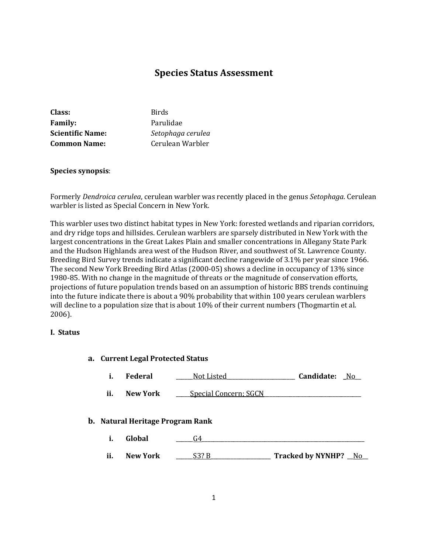# **Species Status Assessment**

| Class:                  | <b>Birds</b>      |
|-------------------------|-------------------|
| <b>Family:</b>          | Parulidae         |
| <b>Scientific Name:</b> | Setophaga cerulea |
| <b>Common Name:</b>     | Cerulean Warbler  |

## **Species synopsis**:

Formerly *Dendroica cerulea*, cerulean warbler was recently placed in the genus *Setophaga*. Cerulean warbler is listed as Special Concern in New York.

This warbler uses two distinct habitat types in New York: forested wetlands and riparian corridors, and dry ridge tops and hillsides. Cerulean warblers are sparsely distributed in New York with the largest concentrations in the Great Lakes Plain and smaller concentrations in Allegany State Park and the Hudson Highlands area west of the Hudson River, and southwest of St. Lawrence County. Breeding Bird Survey trends indicate a significant decline rangewide of 3.1% per year since 1966. The second New York Breeding Bird Atlas (2000-05) shows a decline in occupancy of 13% since 1980-85. With no change in the magnitude of threats or the magnitude of conservation efforts, projections of future population trends based on an assumption of historic BBS trends continuing into the future indicate there is about a 90% probability that within 100 years cerulean warblers will decline to a population size that is about 10% of their current numbers (Thogmartin et al. 2006).

#### **I. Status**

# **a. Current Legal Protected Status i. Federal** \_\_\_\_\_\_Not Listed\_\_\_\_\_\_\_\_\_\_\_\_\_\_\_\_\_\_\_\_\_\_\_\_ **Candidate: \_**No\_\_ **ii. New York** \_\_\_\_\_Special Concern; SGCN\_\_\_\_\_\_\_\_\_\_\_\_\_\_\_\_\_\_\_\_\_\_\_\_\_\_\_\_\_\_\_\_\_\_ **b. Natural Heritage Program Rank i. Global**  $G4$

**ii. New York** \_\_\_\_\_\_S3? B\_\_\_\_\_\_\_\_\_\_\_\_\_\_\_\_\_\_\_\_\_ **Tracked by NYNHP?** \_\_No\_\_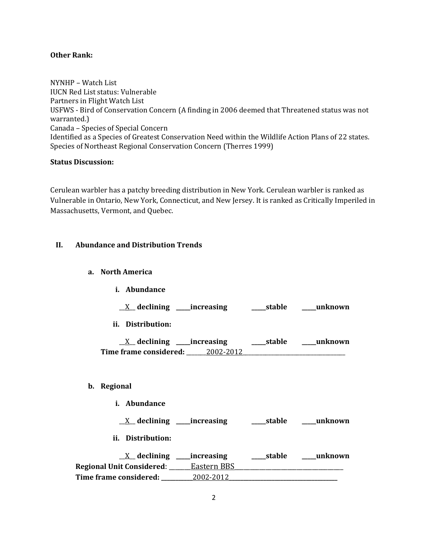#### **Other Rank:**

NYNHP – Watch List IUCN Red List status: Vulnerable Partners in Flight Watch List USFWS - Bird of Conservation Concern (A finding in 2006 deemed that Threatened status was not warranted.) Canada – Species of Special Concern Identified as a Species of Greatest Conservation Need within the Wildlife Action Plans of 22 states. Species of Northeast Regional Conservation Concern (Therres 1999)

## **Status Discussion:**

Cerulean warbler has a patchy breeding distribution in New York. Cerulean warbler is ranked as Vulnerable in Ontario, New York, Connecticut, and New Jersey. It is ranked as Critically Imperiled in Massachusetts, Vermont, and Quebec.

## **II. Abundance and Distribution Trends**

## **a. North America**

**b**.

| <i>i.</i> Abundance                                                        |  |                |
|----------------------------------------------------------------------------|--|----------------|
| $X$ declining increasing $X$ stable $X$ unknown                            |  |                |
| ii. Distribution:                                                          |  |                |
| $\underline{X}$ declining ____increasing ___________stable ________unknown |  |                |
|                                                                            |  |                |
|                                                                            |  |                |
| Regional                                                                   |  |                |
| <i>i.</i> Abundance                                                        |  |                |
|                                                                            |  |                |
| ii. Distribution:                                                          |  |                |
| V doclining increasing                                                     |  | etable unimoum |

\_\_X\_\_ **declining \_\_\_\_\_increasing \_\_\_\_\_stable \_\_\_\_\_unknown Regional Unit Considered**: \_\_\_\_\_\_\_Eastern BBS\_\_\_\_\_\_\_\_\_\_\_\_\_\_\_\_\_\_\_\_\_\_\_\_\_\_\_\_\_\_\_\_\_\_\_ **Time** frame considered:  $2002-2012$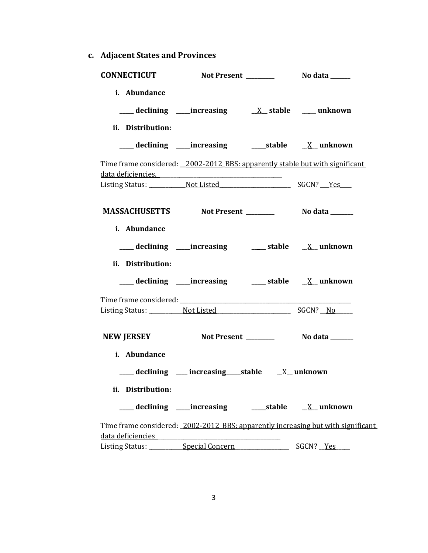**c. Adjacent States and Provinces**

| <b>CONNECTICUT</b>                |                                                                                                                                                                                                                                                                                                                 |                                                                                   |  |
|-----------------------------------|-----------------------------------------------------------------------------------------------------------------------------------------------------------------------------------------------------------------------------------------------------------------------------------------------------------------|-----------------------------------------------------------------------------------|--|
| i. Abundance<br>ii. Distribution: |                                                                                                                                                                                                                                                                                                                 |                                                                                   |  |
|                                   |                                                                                                                                                                                                                                                                                                                 |                                                                                   |  |
|                                   | Time frame considered: _2002-2012 BBS: apparently stable but with significant<br>data deficiencies. The contract of the contract of the contract of the contract of the contract of the contract of the contract of the contract of the contract of the contract of the contract of the contract of the contrac |                                                                                   |  |
|                                   |                                                                                                                                                                                                                                                                                                                 |                                                                                   |  |
| i. Abundance                      | MASSACHUSETTS Not Present _________ No data ______                                                                                                                                                                                                                                                              |                                                                                   |  |
|                                   | ___ declining ____increasing ______ stable ___ X__ unknown                                                                                                                                                                                                                                                      |                                                                                   |  |
| ii. Distribution:                 |                                                                                                                                                                                                                                                                                                                 |                                                                                   |  |
|                                   |                                                                                                                                                                                                                                                                                                                 |                                                                                   |  |
| <b>NEW JERSEY</b>                 |                                                                                                                                                                                                                                                                                                                 |                                                                                   |  |
| i. Abundance<br>ii. Distribution: | $\frac{1}{\sqrt{1-x^2}}$ declining $\frac{1}{\sqrt{1-x^2}}$ increasing stable $\frac{1}{\sqrt{1-x^2}}$ unknown                                                                                                                                                                                                  |                                                                                   |  |
|                                   | ___ declining ____increasing _______stable _____X__ unknown                                                                                                                                                                                                                                                     |                                                                                   |  |
|                                   |                                                                                                                                                                                                                                                                                                                 | Time frame considered: _2002-2012_BBS: apparently increasing but with significant |  |
|                                   | Listing Status: ___________Special Concern ________________                                                                                                                                                                                                                                                     | SGCN? Yes                                                                         |  |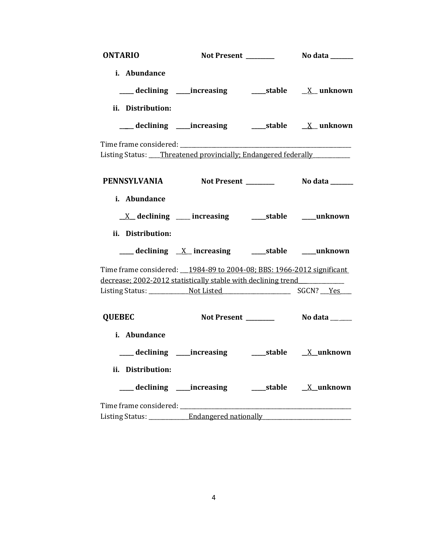| <b>ONTARIO</b>                                                                   |                                                             |  |
|----------------------------------------------------------------------------------|-------------------------------------------------------------|--|
| i. Abundance                                                                     | ___ declining ____increasing _______stable _____X__ unknown |  |
| ii. Distribution:                                                                |                                                             |  |
|                                                                                  |                                                             |  |
| Listing Status: ___Threatened provincially; Endangered federally                 |                                                             |  |
| PENNSYLVANIA Not Present No data _____                                           |                                                             |  |
| i. Abundance                                                                     |                                                             |  |
|                                                                                  | <u>X</u> declining ___ increasing ____ stable ____ unknown  |  |
| ii. Distribution:                                                                |                                                             |  |
|                                                                                  | ___ declining <u>X</u> increasing ____ stable ____ unknown  |  |
| Time frame considered: 1984-89 to 2004-08; BBS: 1966-2012 significant            |                                                             |  |
| decrease; 2002-2012 statistically stable with declining trend                    |                                                             |  |
|                                                                                  |                                                             |  |
| <b>QUEBEC</b>                                                                    |                                                             |  |
| i. Abundance                                                                     |                                                             |  |
|                                                                                  |                                                             |  |
| ii. Distribution:                                                                |                                                             |  |
|                                                                                  |                                                             |  |
|                                                                                  |                                                             |  |
| Listing Status: _____________Endangered nationally _____________________________ |                                                             |  |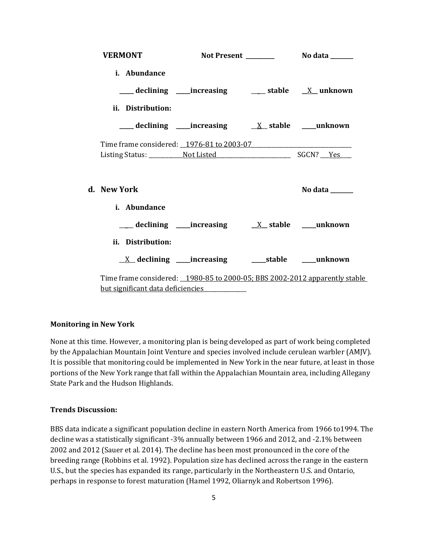| <b>VERMONT</b>                                                              |                                                                         |                |  |
|-----------------------------------------------------------------------------|-------------------------------------------------------------------------|----------------|--|
| i. Abundance                                                                |                                                                         |                |  |
|                                                                             | ___ declining ____ increasing _____ stable __ X__ unknown               |                |  |
| ii. Distribution:                                                           |                                                                         |                |  |
|                                                                             |                                                                         |                |  |
|                                                                             |                                                                         |                |  |
|                                                                             |                                                                         |                |  |
| d. New York                                                                 |                                                                         | No data ______ |  |
| <i>i.</i> Abundance                                                         |                                                                         |                |  |
|                                                                             |                                                                         |                |  |
| ii. Distribution:                                                           |                                                                         |                |  |
|                                                                             | $\underline{X}$ declining ____increasing __________stable ______unknown |                |  |
| Time frame considered: _1980-85 to 2000-05; BBS 2002-2012 apparently stable |                                                                         |                |  |
| but significant data deficiencies                                           |                                                                         |                |  |

## **Monitoring in New York**

None at this time. However, a monitoring plan is being developed as part of work being completed by the Appalachian Mountain Joint Venture and species involved include cerulean warbler (AMJV). It is possible that monitoring could be implemented in New York in the near future, at least in those portions of the New York range that fall within the Appalachian Mountain area, including Allegany State Park and the Hudson Highlands.

## **Trends Discussion:**

BBS data indicate a significant population decline in eastern North America from 1966 to1994. The decline was a statistically significant -3% annually between 1966 and 2012, and -2.1% between 2002 and 2012 (Sauer et al. 2014). The decline has been most pronounced in the core of the breeding range (Robbins et al. 1992). Population size has declined across the range in the eastern U.S., but the species has expanded its range, particularly in the Northeastern U.S. and Ontario, perhaps in response to forest maturation (Hamel 1992, Oliarnyk and Robertson 1996).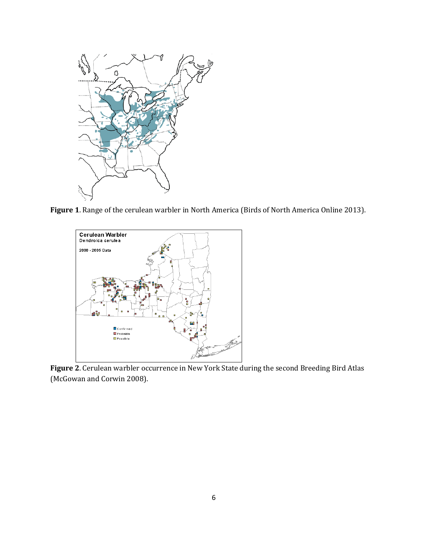

**Figure 1**. Range of the cerulean warbler in North America (Birds of North America Online 2013).



**Figure 2**. Cerulean warbler occurrence in New York State during the second Breeding Bird Atlas (McGowan and Corwin 2008).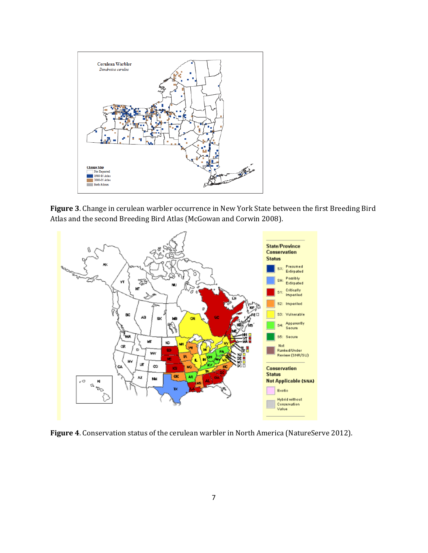

**Figure 3**. Change in cerulean warbler occurrence in New York State between the first Breeding Bird Atlas and the second Breeding Bird Atlas (McGowan and Corwin 2008).



**Figure 4**. Conservation status of the cerulean warbler in North America (NatureServe 2012).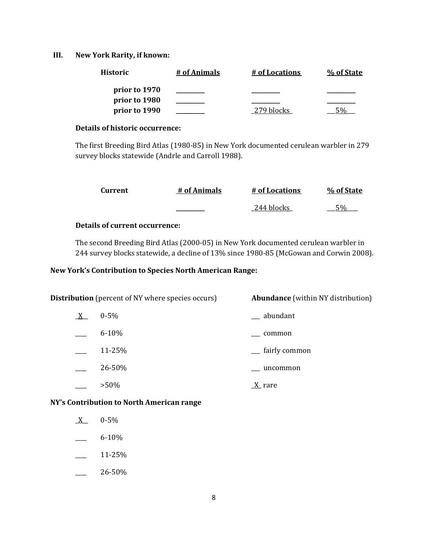## **III. New York Rarity, if known:**

| <b>Historic</b> | # of Animals | # of Locations | % of State |
|-----------------|--------------|----------------|------------|
| prior to 1970   |              |                |            |
| prior to 1980   |              |                |            |
| prior to 1990   |              | 279 blocks     |            |

#### **Details of historic occurrence:**

The first Breeding Bird Atlas (1980-85) in New York documented cerulean warbler in 279 survey blocks statewide (Andrle and Carroll 1988).

| Current | # of Animals | # of Locations | % of State |
|---------|--------------|----------------|------------|
|         |              | 244 blocks     | $E_0$      |

## **Details of current occurrence:**

The second Breeding Bird Atlas (2000-05) in New York documented cerulean warbler in 244 survey blocks statewide, a decline of 13% since 1980-85 (McGowan and Corwin 2008).

## **New York's Contribution to Species North American Range:**

| <b>Distribution</b> (percent of NY where species occurs) |           | <b>Abundance</b> (within NY distribution) |
|----------------------------------------------------------|-----------|-------------------------------------------|
| $\underline{X}$                                          | $0 - 5\%$ | __ abundant                               |
|                                                          | $6 - 10%$ | common                                    |
|                                                          | 11-25%    | fairly common                             |
|                                                          | 26-50%    | uncommon                                  |
|                                                          | $>50\%$   | X rare                                    |

**NY's Contribution to North American range**

- $X = 0.5\%$
- $-$  6-10%
- $-$  11-25%
- $-26-50%$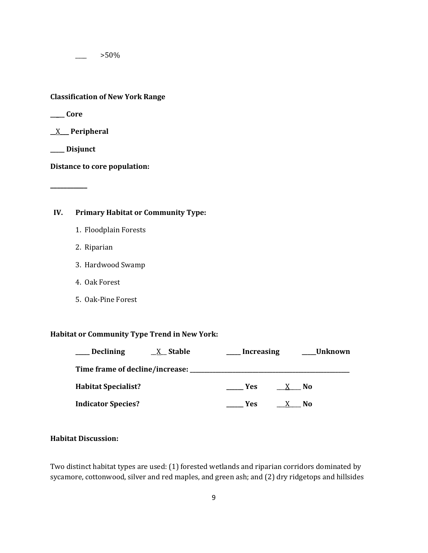$>50\%$ 

**Classification of New York Range**

**\_\_\_\_\_ Core**

**\_\_**X\_\_\_ **Peripheral**

**\_\_\_\_\_ Disjunct**

**\_\_\_\_\_\_\_\_\_\_\_**

**Distance to core population:**

**IV. Primary Habitat or Community Type:** 

- 1. Floodplain Forests
- 2. Riparian
- 3. Hardwood Swamp
- 4. Oak Forest
- 5. Oak-Pine Forest

## **Habitat or Community Type Trend in New York:**

| Declining<br><b>X</b> Stable                   | <b>Increasing</b>       | _Unknown  |
|------------------------------------------------|-------------------------|-----------|
| Time frame of decline/increase: ______________ |                         |           |
| <b>Habitat Specialist?</b>                     | <b>Paragona</b><br>X No |           |
| <b>Indicator Species?</b>                      | <b>Paragona</b><br>X    | <b>No</b> |

## **Habitat Discussion:**

Two distinct habitat types are used: (1) forested wetlands and riparian corridors dominated by sycamore, cottonwood, silver and red maples, and green ash; and (2) dry ridgetops and hillsides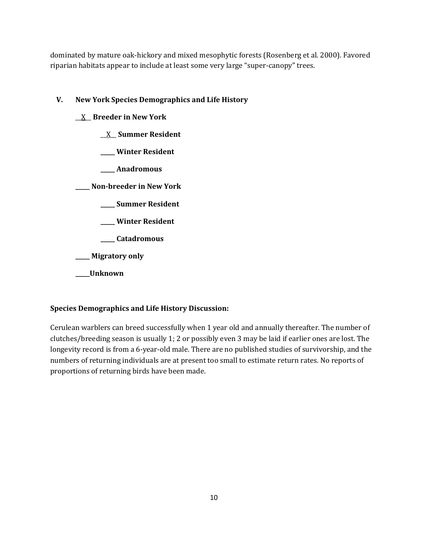dominated by mature oak-hickory and mixed mesophytic forests (Rosenberg et al. 2000). Favored riparian habitats appear to include at least some very large "super-canopy" trees.

# **V. New York Species Demographics and Life History**

- \_\_X\_\_ **Breeder in New York**
	- \_\_X\_\_ **Summer Resident**
	- **\_\_\_\_\_ Winter Resident**
	- **\_\_\_\_\_ Anadromous**

**\_\_\_\_\_ Non-breeder in New York**

- **\_\_\_\_\_ Summer Resident**
- **\_\_\_\_\_ Winter Resident**
- **\_\_\_\_\_ Catadromous**

**\_\_\_\_\_ Migratory only**

**\_\_\_\_\_Unknown**

# **Species Demographics and Life History Discussion:**

Cerulean warblers can breed successfully when 1 year old and annually thereafter. The number of clutches/breeding season is usually 1; 2 or possibly even 3 may be laid if earlier ones are lost. The longevity record is from a 6-year-old male. There are no published studies of survivorship, and the numbers of returning individuals are at present too small to estimate return rates. No reports of proportions of returning birds have been made.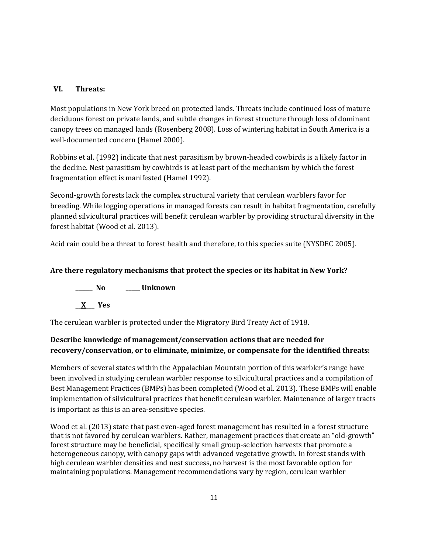## **VI. Threats:**

Most populations in New York breed on protected lands. Threats include continued loss of mature deciduous forest on private lands, and subtle changes in forest structure through loss of dominant canopy trees on managed lands (Rosenberg 2008). Loss of wintering habitat in South America is a well-documented concern (Hamel 2000).

Robbins et al. (1992) indicate that nest parasitism by brown-headed cowbirds is a likely factor in the decline. Nest parasitism by cowbirds is at least part of the mechanism by which the forest fragmentation effect is manifested (Hamel 1992).

Second-growth forests lack the complex structural variety that cerulean warblers favor for breeding. While logging operations in managed forests can result in habitat fragmentation, carefully planned silvicultural practices will benefit cerulean warbler by providing structural diversity in the forest habitat (Wood et al. 2013).

Acid rain could be a threat to forest health and therefore, to this species suite (NYSDEC 2005).

## **Are there regulatory mechanisms that protect the species or its habitat in New York?**

**\_\_\_\_\_\_ No \_\_\_\_\_ Unknown \_\_X\_\_\_ Yes** 

The cerulean warbler is protected under the Migratory Bird Treaty Act of 1918.

# **Describe knowledge of management/conservation actions that are needed for recovery/conservation, or to eliminate, minimize, or compensate for the identified threats:**

Members of several states within the Appalachian Mountain portion of this warbler's range have been involved in studying cerulean warbler response to silvicultural practices and a compilation of Best Management Practices (BMPs) has been completed (Wood et al. 2013). These BMPs will enable implementation of silvicultural practices that benefit cerulean warbler. Maintenance of larger tracts is important as this is an area-sensitive species.

Wood et al. (2013) state that past even-aged forest management has resulted in a forest structure that is not favored by cerulean warblers. Rather, management practices that create an "old-growth" forest structure may be beneficial, specifically small group-selection harvests that promote a heterogeneous canopy, with canopy gaps with advanced vegetative growth. In forest stands with high cerulean warbler densities and nest success, no harvest is the most favorable option for maintaining populations. Management recommendations vary by region, cerulean warbler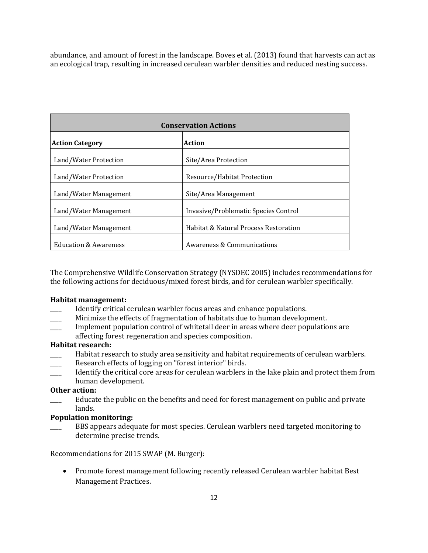abundance, and amount of forest in the landscape. Boves et al. (2013) found that harvests can act as an ecological trap, resulting in increased cerulean warbler densities and reduced nesting success.

| <b>Conservation Actions</b>      |                                       |  |
|----------------------------------|---------------------------------------|--|
| <b>Action Category</b>           | Action                                |  |
| Land/Water Protection            | Site/Area Protection                  |  |
| Land/Water Protection            | Resource/Habitat Protection           |  |
| Land/Water Management            | Site/Area Management                  |  |
| Land/Water Management            | Invasive/Problematic Species Control  |  |
| Land/Water Management            | Habitat & Natural Process Restoration |  |
| <b>Education &amp; Awareness</b> | Awareness & Communications            |  |

The Comprehensive Wildlife Conservation Strategy (NYSDEC 2005) includes recommendations for the following actions for deciduous/mixed forest birds, and for cerulean warbler specifically.

#### **Habitat management:**

- Identify critical cerulean warbler focus areas and enhance populations.
- Minimize the effects of fragmentation of habitats due to human development.
- Implement population control of whitetail deer in areas where deer populations are affecting forest regeneration and species composition.

#### **Habitat research:**

- Habitat research to study area sensitivity and habitat requirements of cerulean warblers.
- Research effects of logging on "forest interior" birds.
- Identify the critical core areas for cerulean warblers in the lake plain and protect them from human development.

## **Other action:**

Educate the public on the benefits and need for forest management on public and private lands.

## **Population monitoring:**

BBS appears adequate for most species. Cerulean warblers need targeted monitoring to determine precise trends.

Recommendations for 2015 SWAP (M. Burger):

• Promote forest management following recently released Cerulean warbler habitat Best Management Practices.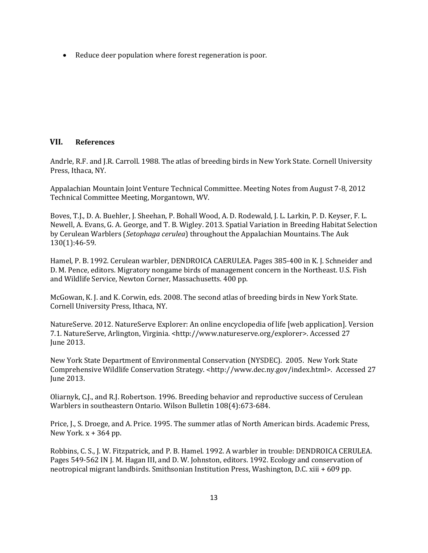• Reduce deer population where forest regeneration is poor.

## **VII. References**

Andrle, R.F. and J.R. Carroll. 1988. The atlas of breeding birds in New York State. Cornell University Press, Ithaca, NY.

Appalachian Mountain Joint Venture Technical Committee. Meeting Notes from August 7-8, 2012 Technical Committee Meeting, Morgantown, WV.

Boves, T.J., D. A. Buehler, J. Sheehan, P. Bohall Wood, A. D. Rodewald, J. L. Larkin, P. D. Keyser, F. L. Newell, A. Evans, G. A. George, and T. B. Wigley. 2013. Spatial Variation in Breeding Habitat Selection by Cerulean Warblers (*Setophaga cerulea*) throughout the Appalachian Mountains. The Auk 130(1):46-59.

Hamel, P. B. 1992. Cerulean warbler, DENDROICA CAERULEA. Pages 385-400 in K. J. Schneider and D. M. Pence, editors. Migratory nongame birds of management concern in the Northeast. U.S. Fish and Wildlife Service, Newton Corner, Massachusetts. 400 pp.

McGowan, K. J. and K. Corwin, eds. 2008. The second atlas of breeding birds in New York State. Cornell University Press, Ithaca, NY.

NatureServe. 2012. NatureServe Explorer: An online encyclopedia of life [web application]. Version 7.1. NatureServe, Arlington, Virginia. <http://www.natureserve.org/explorer>. Accessed 27 June 2013.

New York State Department of Environmental Conservation (NYSDEC). 2005. New York State Comprehensive Wildlife Conservation Strategy. <http://www.dec.ny.gov/index.html>. Accessed 27 June 2013.

Oliarnyk, C.J., and R.J. Robertson. 1996. Breeding behavior and reproductive success of Cerulean Warblers in southeastern Ontario. Wilson Bulletin 108(4):673-684.

Price, J., S. Droege, and A. Price. 1995. The summer atlas of North American birds. Academic Press, New York.  $x + 364$  pp.

Robbins, C. S., J. W. Fitzpatrick, and P. B. Hamel. 1992. A warbler in trouble: DENDROICA CERULEA. Pages 549-562 IN J. M. Hagan III, and D. W. Johnston, editors. 1992. Ecology and conservation of neotropical migrant landbirds. Smithsonian Institution Press, Washington, D.C. xiii + 609 pp.